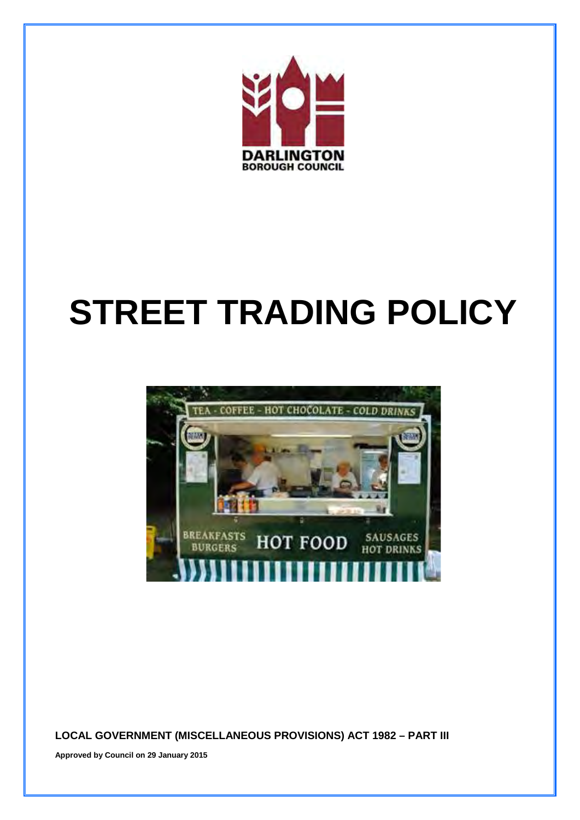

# **STREET TRADING POLICY**



 **LOCAL GOVERNMENT (MISCELLANEOUS PROVISIONS) ACT 1982 – PART III** 

**Approved by Council on 29 January 2015**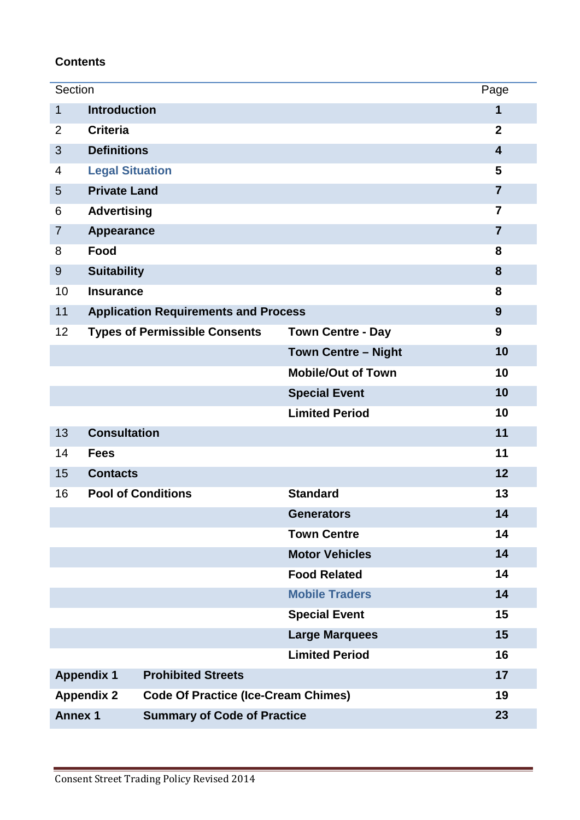# **Contents**

| Section                                                         |                                             |                            | Page           |
|-----------------------------------------------------------------|---------------------------------------------|----------------------------|----------------|
| $\mathbf{1}$                                                    | <b>Introduction</b>                         |                            | 1              |
| $\overline{2}$                                                  | <b>Criteria</b>                             |                            | $\overline{2}$ |
| 3                                                               | <b>Definitions</b>                          |                            | $\overline{4}$ |
| 4                                                               | <b>Legal Situation</b>                      |                            | 5              |
| 5                                                               | <b>Private Land</b>                         |                            | $\overline{7}$ |
| 6                                                               | <b>Advertising</b>                          |                            | $\overline{7}$ |
| $\overline{7}$                                                  | <b>Appearance</b>                           |                            | $\overline{7}$ |
| 8                                                               | Food                                        |                            | 8              |
| 9                                                               | <b>Suitability</b>                          |                            | 8              |
| 10                                                              | <b>Insurance</b>                            |                            | 8              |
| 11                                                              | <b>Application Requirements and Process</b> |                            | 9              |
| 12                                                              | <b>Types of Permissible Consents</b>        | <b>Town Centre - Day</b>   | 9              |
|                                                                 |                                             | <b>Town Centre - Night</b> | 10             |
|                                                                 |                                             | <b>Mobile/Out of Town</b>  | 10             |
|                                                                 |                                             | <b>Special Event</b>       | 10             |
|                                                                 |                                             | <b>Limited Period</b>      | 10             |
| 13                                                              | <b>Consultation</b>                         |                            | 11             |
| 14                                                              | <b>Fees</b>                                 |                            | 11             |
| 15                                                              | <b>Contacts</b>                             |                            | 12             |
| 16                                                              | <b>Pool of Conditions</b>                   | <b>Standard</b>            | 13             |
|                                                                 |                                             | <b>Generators</b>          | 14             |
|                                                                 |                                             | <b>Town Centre</b>         | 14             |
|                                                                 |                                             | <b>Motor Vehicles</b>      | 14             |
|                                                                 |                                             | <b>Food Related</b>        | 14             |
|                                                                 |                                             | <b>Mobile Traders</b>      | 14             |
|                                                                 |                                             | <b>Special Event</b>       | 15             |
|                                                                 |                                             | <b>Large Marquees</b>      | 15             |
|                                                                 |                                             | <b>Limited Period</b>      | 16             |
| <b>Prohibited Streets</b><br><b>Appendix 1</b>                  |                                             | 17                         |                |
| <b>Appendix 2</b><br><b>Code Of Practice (Ice-Cream Chimes)</b> |                                             |                            | 19             |
| <b>Annex 1</b><br><b>Summary of Code of Practice</b>            |                                             | 23                         |                |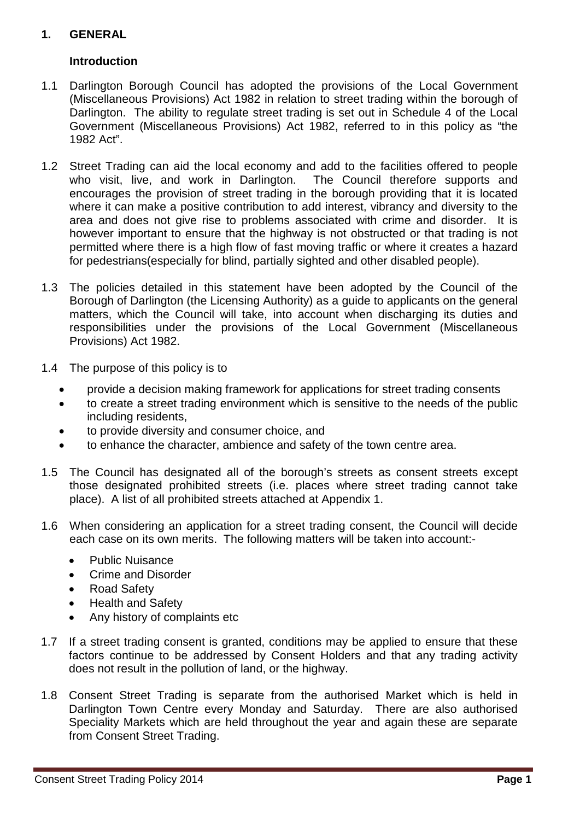# **1. GENERAL**

# **Introduction**

- $1.1$  Darlington. The ability to regulate street trading is set out in Schedule 4 of the Local Darlington Borough Council has adopted the provisions of the Local Government (Miscellaneous Provisions) Act 1982 in relation to street trading within the borough of Government (Miscellaneous Provisions) Act 1982, referred to in this policy as "the 1982 Act".
- 1.2 Street Trading can aid the local economy and add to the facilities offered to people area and does not give rise to problems associated with crime and disorder. It is permitted where there is a high flow of fast moving traffic or where it creates a hazard who visit, live, and work in Darlington. The Council therefore supports and encourages the provision of street trading in the borough providing that it is located where it can make a positive contribution to add interest, vibrancy and diversity to the however important to ensure that the highway is not obstructed or that trading is not for pedestrians(especially for blind, partially sighted and other disabled people).
- $1.3$ The policies detailed in this statement have been adopted by the Council of the Borough of Darlington (the Licensing Authority) as a guide to applicants on the general matters, which the Council will take, into account when discharging its duties and responsibilities under the provisions of the Local Government (Miscellaneous Provisions) Act 1982.
- 1.4 The purpose of this policy is to
	- provide a decision making framework for applications for street trading consents
	- to create a street trading environment which is sensitive to the needs of the public including residents,
	- to provide diversity and consumer choice, and
	- to enhance the character, ambience and safety of the town centre area.
- • to enhance the character, ambience and safety of the town centre area. 1.5 The Council has designated all of the borough's streets as consent streets except those designated prohibited streets (i.e. places where street trading cannot take place). A list of all prohibited streets attached at Appendix 1.
- 1.6 When considering an application for a street trading consent, the Council will decide each case on its own merits. The following matters will be taken into account:-
	- Public Nuisance
	- Crime and Disorder
	- Road Safety
	- Health and Safety
	- Any history of complaints etc
- 1.7 If a street trading consent is granted, conditions may be applied to ensure that these factors continue to be addressed by Consent Holders and that any trading activity does not result in the pollution of land, or the highway.
- from Consent Street Trading. 1.8 Consent Street Trading is separate from the authorised Market which is held in Darlington Town Centre every Monday and Saturday. There are also authorised Speciality Markets which are held throughout the year and again these are separate from Consent Street Trading. Consent Street Trading Policy 2014 **Page 1**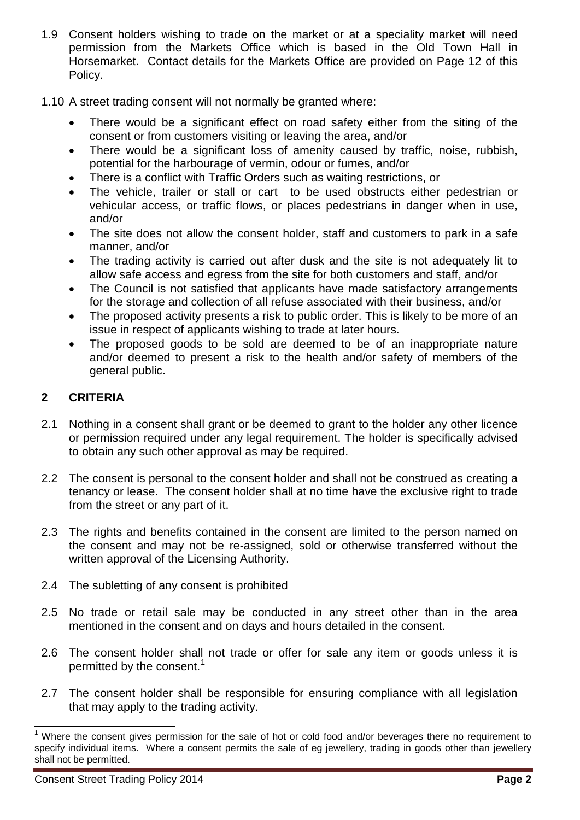- Horsemarket. Contact details for the Markets Office are provided on Page 12 of this 1.9 Consent holders wishing to trade on the market or at a speciality market will need permission from the Markets Office which is based in the Old Town Hall in Policy.
- 1.10 A street trading consent will not normally be granted where:
	- There would be a significant effect on road safety either from the siting of the consent or from customers visiting or leaving the area, and/or
	- potential for the harbourage of vermin, odour or fumes, and/or • There would be a significant loss of amenity caused by traffic, noise, rubbish,
	- There is a conflict with Traffic Orders such as waiting restrictions, or
	- The vehicle, trailer or stall or cart to be used obstructs either pedestrian or vehicular access, or traffic flows, or places pedestrians in danger when in use, and/or
	- • The site does not allow the consent holder, staff and customers to park in a safe manner, and/or
	- allow safe access and egress from the site for both customers and staff, and/or • The trading activity is carried out after dusk and the site is not adequately lit to
	- The Council is not satisfied that applicants have made satisfactory arrangements for the storage and collection of all refuse associated with their business, and/or
	- • The proposed activity presents a risk to public order. This is likely to be more of an issue in respect of applicants wishing to trade at later hours.
	- • The proposed goods to be sold are deemed to be of an inappropriate nature and/or deemed to present a risk to the health and/or safety of members of the general public.

# **2 CRITERIA**

- 2.1 Nothing in a consent shall grant or be deemed to grant to the holder any other licence or permission required under any legal requirement. The holder is specifically advised to obtain any such other approval as may be required.
- tenancy or lease. The consent holder shall at no time have the exclusive right to trade 2.2 The consent is personal to the consent holder and shall not be construed as creating a from the street or any part of it.
- 2.3 The rights and benefits contained in the consent are limited to the person named on the consent and may not be re-assigned, sold or otherwise transferred without the written approval of the Licensing Authority.
- 2.4 The subletting of any consent is prohibited
- mentioned in the consent and on days and hours detailed in the consent. 2.5 No trade or retail sale may be conducted in any street other than in the area
- 2.6 The consent holder shall not trade or offer for sale any item or goods unless it is permitted by the consent.<sup>1</sup>
- 2.7 The consent holder shall be responsible for ensuring compliance with all legislation that may apply to the trading activity.

<span id="page-4-0"></span><sup>&</sup>lt;sup>1</sup> Where the consent gives permission for the sale of hot or cold food and/or beverages there no requirement to specify individual items. Where a consent permits the sale of eg jewellery, trading in goods other than jewellery  $\overline{\phantom{a}}$ shall not be permitted.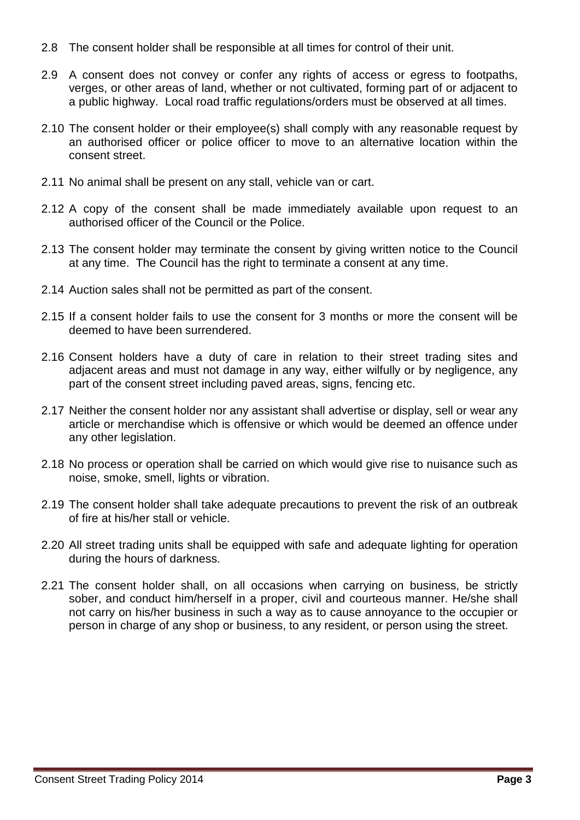- 2.8 The consent holder shall be responsible at all times for control of their unit.
- 2.9 A consent does not convey or confer any rights of access or egress to footpaths, verges, or other areas of land, whether or not cultivated, forming part of or adjacent to a public highway. Local road traffic regulations/orders must be observed at all times.
- 2.10 The consent holder or their employee(s) shall comply with any reasonable request by an authorised officer or police officer to move to an alternative location within the consent street.
- 2.11 No animal shall be present on any stall, vehicle van or cart.
- 2.12 A copy of the consent shall be made immediately available upon request to an authorised officer of the Council or the Police.
- at any time. The Council has the right to terminate a consent at any time. 2.13 The consent holder may terminate the consent by giving written notice to the Council
- 2.14 Auction sales shall not be permitted as part of the consent.
- 2.15 If a consent holder fails to use the consent for 3 months or more the consent will be deemed to have been surrendered.
- 2.16 Consent holders have a duty of care in relation to their street trading sites and adjacent areas and must not damage in any way, either wilfully or by negligence, any part of the consent street including paved areas, signs, fencing etc.
- 2.17 Neither the consent holder nor any assistant shall advertise or display, sell or wear any article or merchandise which is offensive or which would be deemed an offence under any other legislation.
- 2.18 No process or operation shall be carried on which would give rise to nuisance such as noise, smoke, smell, lights or vibration.
- 2.19 The consent holder shall take adequate precautions to prevent the risk of an outbreak of fire at his/her stall or vehicle.
- during the hours of darkness. 2.20 All street trading units shall be equipped with safe and adequate lighting for operation
- person in charge of any shop or business, to any resident, or person using the street. 2.21 The consent holder shall, on all occasions when carrying on business, be strictly sober, and conduct him/herself in a proper, civil and courteous manner. He/she shall not carry on his/her business in such a way as to cause annoyance to the occupier or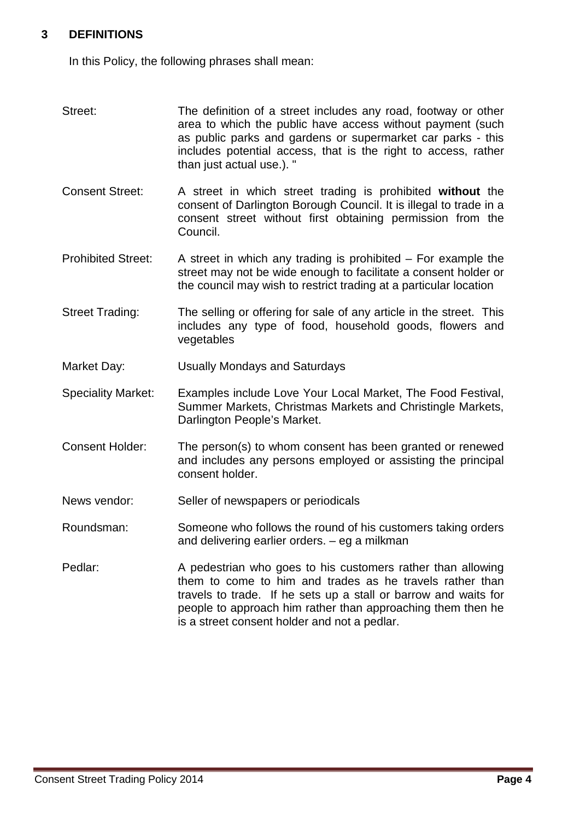### **3 DEFINITIONS**

In this Policy, the following phrases shall mean:

- as public parks and gardens or supermarket car parks this Street: The definition of a street includes any road, footway or other area to which the public have access without payment (such includes potential access, that is the right to access, rather than just actual use.). "
- Consent Street: A street in which street trading is prohibited **without** the consent of Darlington Borough Council. It is illegal to trade in a consent street without first obtaining permission from the Council.
- street may not be wide enough to facilitate a consent holder or the council may wish to restrict trading at a particular location Prohibited Street: A street in which any trading is prohibited – For example the
- Street Trading: The selling or offering for sale of any article in the street. This includes any type of food, household goods, flowers and vegetables
- Market Day: Usually Mondays and Saturdays
- Darlington People's Market. Speciality Market: Examples include Love Your Local Market, The Food Festival, Summer Markets, Christmas Markets and Christingle Markets,
- Consent Holder: The person(s) to whom consent has been granted or renewed and includes any persons employed or assisting the principal consent holder.
- News vendor: Seller of newspapers or periodicals
- Roundsman: Someone who follows the round of his customers taking orders and delivering earlier orders. – eg a milkman
- travels to trade. If he sets up a stall or barrow and waits for Pedlar: A pedestrian who goes to his customers rather than allowing them to come to him and trades as he travels rather than people to approach him rather than approaching them then he is a street consent holder and not a pedlar.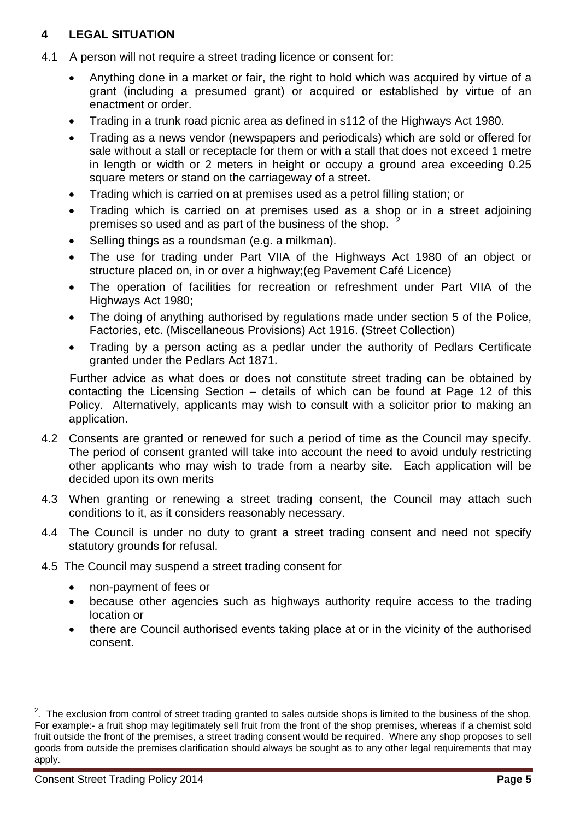# **4 LEGAL SITUATION**

- 4.1 A person will not require a street trading licence or consent for:
	- • Anything done in a market or fair, the right to hold which was acquired by virtue of a grant (including a presumed grant) or acquired or established by virtue of an enactment or order.
	- Trading in a trunk road picnic area as defined in s112 of the Highways Act 1980.
	- Trading as a news vendor (newspapers and periodicals) which are sold or offered for sale without a stall or receptacle for them or with a stall that does not exceed 1 metre in length or width or 2 meters in height or occupy a ground area exceeding 0.25 square meters or stand on the carriageway of a street.
	- Trading which is carried on at premises used as a petrol filling station; or
	- premises so used and as part of the business of the shop.  $2^2$  $2^2$ • Trading which is carried on at premises used as a shop or in a street adjoining
	- Selling things as a roundsman (e.g. a milkman).
	- • The use for trading under Part VIIA of the Highways Act 1980 of an object or structure placed on, in or over a highway;(eg Pavement Café Licence)
	- • The operation of facilities for recreation or refreshment under Part VIIA of the Highways Act 1980;
	- • The doing of anything authorised by regulations made under section 5 of the Police, Factories, etc. (Miscellaneous Provisions) Act 1916. (Street Collection)
	- Trading by a person acting as a pedlar under the authority of Pedlars Certificate granted under the Pedlars Act 1871.

 contacting the Licensing Section – details of which can be found at Page 12 of this Policy. Alternatively, applicants may wish to consult with a solicitor prior to making an Further advice as what does or does not constitute street trading can be obtained by application.

- decided upon its own merits 4.2 Consents are granted or renewed for such a period of time as the Council may specify. The period of consent granted will take into account the need to avoid unduly restricting other applicants who may wish to trade from a nearby site. Each application will be
- conditions to it, as it considers reasonably necessary. 4.3 When granting or renewing a street trading consent, the Council may attach such
- 4.4 The Council is under no duty to grant a street trading consent and need not specify statutory grounds for refusal.
- 4.5 The Council may suspend a street trading consent for
	- non-payment of fees or
	- because other agencies such as highways authority require access to the trading location or
	- there are Council authorised events taking place at or in the vicinity of the authorised consent.

<span id="page-7-0"></span> For example:- a fruit shop may legitimately sell fruit from the front of the shop premises, whereas if a chemist sold fruit outside the front of the premises, a street trading consent would be required. Where any shop proposes to sell **EXECUTE:**<br>2. The exclusion from control of street trading granted to sales outside shops is limited to the business of the shop. goods from outside the premises clarification should always be sought as to any other legal requirements that may apply.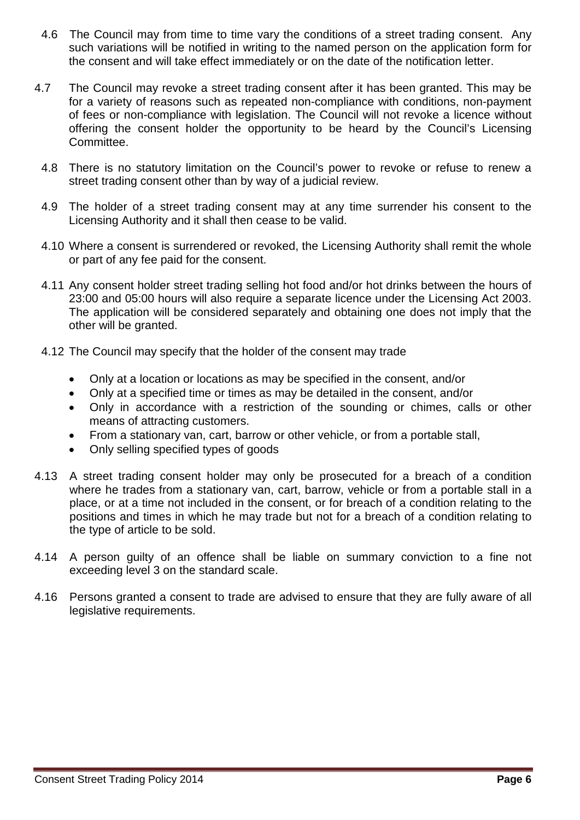- 4.6 such variations will be notified in writing to the named person on the application form for The Council may from time to time vary the conditions of a street trading consent. Any the consent and will take effect immediately or on the date of the notification letter.
- 4.7 The Council may revoke a street trading consent after it has been granted. This may be for a variety of reasons such as repeated non-compliance with conditions, non-payment of fees or non-compliance with legislation. The Council will not revoke a licence without offering the consent holder the opportunity to be heard by the Council's Licensing Committee.
	- 4.8 There is no statutory limitation on the Council's power to revoke or refuse to renew a street trading consent other than by way of a judicial review.
	- 4.9 The holder of a street trading consent may at any time surrender his consent to the Licensing Authority and it shall then cease to be valid.
	- 4.10 Where a consent is surrendered or revoked, the Licensing Authority shall remit the whole or part of any fee paid for the consent.
	- 4.11 Any consent holder street trading selling hot food and/or hot drinks between the hours of 23:00 and 05:00 hours will also require a separate licence under the Licensing Act 2003. The application will be considered separately and obtaining one does not imply that the other will be granted.
	- 4.12 The Council may specify that the holder of the consent may trade
		- Only at a location or locations as may be specified in the consent, and/or
		- Only at a specified time or times as may be detailed in the consent, and/or
		- Only in accordance with a restriction of the sounding or chimes, calls or other means of attracting customers.
		- From a stationary van, cart, barrow or other vehicle, or from a portable stall,
		- Only selling specified types of goods
- where he trades from a stationary van, cart, barrow, vehicle or from a portable stall in a place, or at a time not included in the consent, or for breach of a condition relating to the 4.13 A street trading consent holder may only be prosecuted for a breach of a condition positions and times in which he may trade but not for a breach of a condition relating to the type of article to be sold.
- 4.14 A person guilty of an offence shall be liable on summary conviction to a fine not exceeding level 3 on the standard scale.
- 4.16 Persons granted a consent to trade are advised to ensure that they are fully aware of all legislative requirements.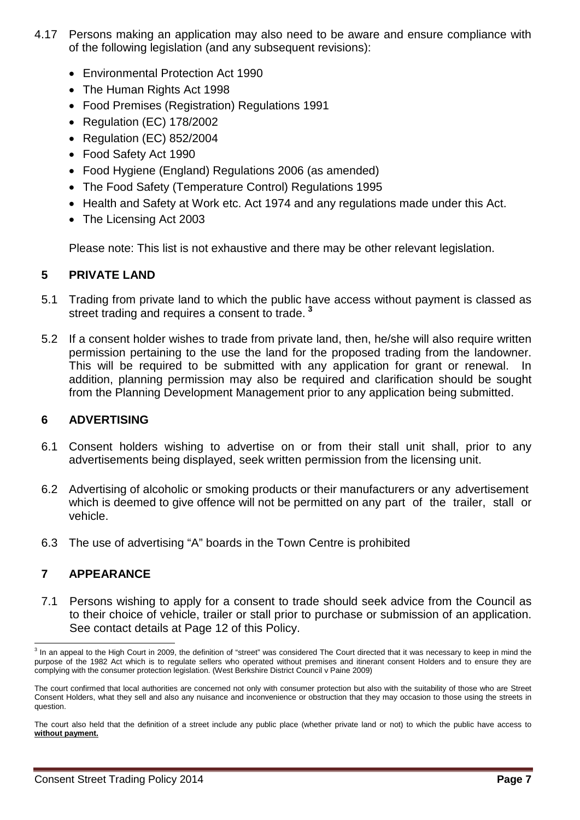- 4.17 Persons making an application may also need to be aware and ensure compliance with of the following legislation (and any subsequent revisions):
	- Environmental Protection Act 1990
	- The Human Rights Act 1998
	- Food Premises (Registration) Regulations 1991
	- Regulation (EC) 178/2002
	- Regulation (EC) 852/2004
	- Food Safety Act 1990
	- Food Hygiene (England) Regulations 2006 (as amended)
	- The Food Safety (Temperature Control) Regulations 1995
	- Health and Safety at Work etc. Act 1974 and any regulations made under this Act.
	- The Licensing Act 2003

Please note: This list is not exhaustive and there may be other relevant legislation.

#### **5 PRIVATE LAND**

- 5.1 Trading from private land to which the public have access without payment is classed as street trading and requires a consent to trade. **[3](#page-9-0)**
- 5.2 If a consent holder wishes to trade from private land, then, he/she will also require written permission pertaining to the use the land for the proposed trading from the landowner. This will be required to be submitted with any application for grant or renewal. addition, planning permission may also be required and clarification should be sought from the Planning Development Management prior to any application being submitted.

#### **6 ADVERTISING**

- 6.1 Consent holders wishing to advertise on or from their stall unit shall, prior to any advertisements being displayed, seek written permission from the licensing unit.
- 6.2 Advertising of alcoholic or smoking products or their manufacturers or any advertisement which is deemed to give offence will not be permitted on any part of the trailer, stall or vehicle.
- 6.3 The use of advertising "A" boards in the Town Centre is prohibited

# **7 APPEARANCE**

7.1 Persons wishing to apply for a consent to trade should seek advice from the Council as to their choice of vehicle, trailer or stall prior to purchase or submission of an application. See contact details at Page 12 of this Policy.

<span id="page-9-0"></span> complying with the consumer protection legislation. (West Berkshire District Council v Paine 2009)  $\overline{\phantom{a}}$ <sup>3</sup> In an appeal to the High Court in 2009, the definition of "street" was considered The Court directed that it was necessary to keep in mind the purpose of the 1982 Act which is to regulate sellers who operated without premises and itinerant consent Holders and to ensure they are

The court confirmed that local authorities are concerned not only with consumer protection but also with the suitability of those who are Street Consent Holders, what they sell and also any nuisance and inconvenience or obstruction that they may occasion to those using the streets in question.

The court also held that the definition of a street include any public place (whether private land or not) to which the public have access to **without payment.**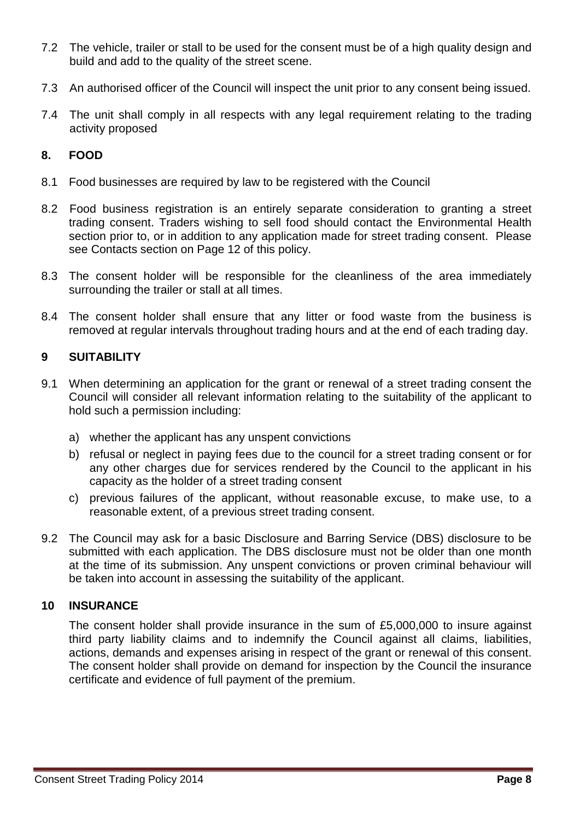- 7.2 The vehicle, trailer or stall to be used for the consent must be of a high quality design and build and add to the quality of the street scene.
- 7.3 An authorised officer of the Council will inspect the unit prior to any consent being issued.
- $7.4$ The unit shall comply in all respects with any legal requirement relating to the trading activity proposed

#### **8. FOOD**

- 8.1 Food businesses are required by law to be registered with the Council
- 8.1 Food businesses are required by law to be registered with the Council<br>8.2 Food business registration is an entirely separate consideration to granting a street trading consent. Traders wishing to sell food should contact the Environmental Health section prior to, or in addition to any application made for street trading consent. Please see Contacts section on Page 12 of this policy.
- 8.3 The consent holder will be responsible for the cleanliness of the area immediately surrounding the trailer or stall at all times.
- 8.4 The consent holder shall ensure that any litter or food waste from the business is removed at regular intervals throughout trading hours and at the end of each trading day.

### **9 SUITABILITY**

- 9.1 When determining an application for the grant or renewal of a street trading consent the Council will consider all relevant information relating to the suitability of the applicant to hold such a permission including:
	- a) whether the applicant has any unspent convictions
	- b) refusal or neglect in paying fees due to the council for a street trading consent or for any other charges due for services rendered by the Council to the applicant in his capacity as the holder of a street trading consent
	- c) previous failures of the applicant, without reasonable excuse, to make use, to a reasonable extent, of a previous street trading consent.
- submitted with each application. The DBS disclosure must not be older than one month be taken into account in assessing the suitability of the applicant. 9.2 The Council may ask for a basic Disclosure and Barring Service (DBS) disclosure to be at the time of its submission. Any unspent convictions or proven criminal behaviour will

#### **10 INSURANCE**

 actions, demands and expenses arising in respect of the grant or renewal of this consent. The consent holder shall provide insurance in the sum of £5,000,000 to insure against third party liability claims and to indemnify the Council against all claims, liabilities, The consent holder shall provide on demand for inspection by the Council the insurance certificate and evidence of full payment of the premium.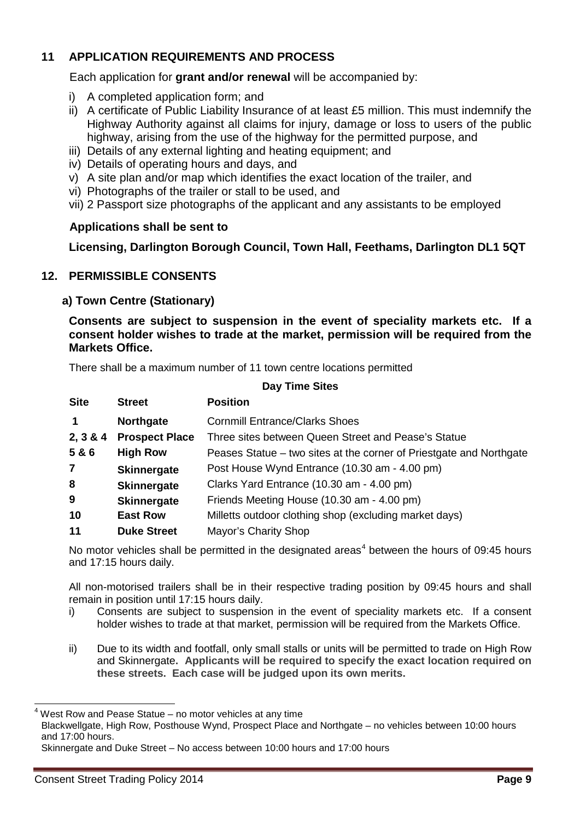# **11 APPLICATION REQUIREMENTS AND PROCESS**

Each application for **grant and/or renewal** will be accompanied by:

- i) A completed application form; and
- ii) A certificate of Public Liability Insurance of at least £5 million. This must indemnify the Highway Authority against all claims for injury, damage or loss to users of the public highway, arising from the use of the highway for the permitted purpose, and
- iii) Details of any external lighting and heating equipment; and
- iv) Details of operating hours and days, and
- v) A site plan and/or map which identifies the exact location of the trailer, and
- vi) Photographs of the trailer or stall to be used, and
- vii) 2 Passport size photographs of the applicant and any assistants to be employed

# **Applications shall be sent to**

 **Licensing, Darlington Borough Council, Town Hall, Feethams, Darlington DL1 5QT** 

# **12. PERMISSIBLE CONSENTS**

#### **a) Town Centre (Stationary)**

 **Consents are subject to suspension in the event of speciality markets etc. If a consent holder wishes to trade at the market, permission will be required from the Markets Office.** 

There shall be a maximum number of 11 town centre locations permitted

# **Day Time Sites**

| <b>Site</b>    | <b>Street</b>         | <b>Position</b>                                                     |
|----------------|-----------------------|---------------------------------------------------------------------|
| 1              | Northgate             | <b>Cornmill Entrance/Clarks Shoes</b>                               |
| 2, 3 & 4       | <b>Prospect Place</b> | Three sites between Queen Street and Pease's Statue                 |
| 5 & 6          | <b>High Row</b>       | Peases Statue – two sites at the corner of Priestgate and Northgate |
| $\overline{7}$ | <b>Skinnergate</b>    | Post House Wynd Entrance (10.30 am - 4.00 pm)                       |
| 8              | <b>Skinnergate</b>    | Clarks Yard Entrance (10.30 am - 4.00 pm)                           |
| 9              | <b>Skinnergate</b>    | Friends Meeting House (10.30 am - 4.00 pm)                          |
| 10             | <b>East Row</b>       | Milletts outdoor clothing shop (excluding market days)              |
| 11             | <b>Duke Street</b>    | Mayor's Charity Shop                                                |

No motor vehicles shall be permitted in the designated areas<sup>[4](#page-11-0)</sup> between the hours of 09:45 hours and 17:15 hours daily.

All non-motorised trailers shall be in their respective trading position by 09:45 hours and shall remain in position until 17:15 hours daily.

- i) Consents are subject to suspension in the event of speciality markets etc. If a consent holder wishes to trade at that market, permission will be required from the Markets Office.
- ii) Due to its width and footfall, only small stalls or units will be permitted to trade on High Row  and Skinnergate**. Applicants will be required to specify the exact location required on these streets. Each case will be judged upon its own merits.**

<span id="page-11-0"></span> $\overline{\phantom{a}}$ West Row and Pease Statue – no motor vehicles at any time

Blackwellgate, High Row, Posthouse Wynd, Prospect Place and Northgate – no vehicles between 10:00 hours and 17:00 hours.

Skinnergate and Duke Street – No access between 10:00 hours and 17:00 hours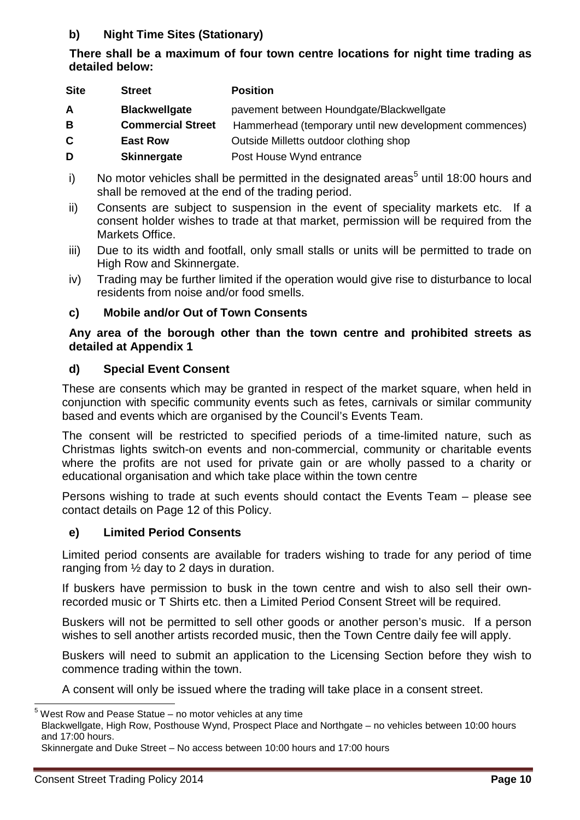# **b) Night Time Sites (Stationary)**

# **There shall be a maximum of four town centre locations for night time trading as detailed below:**

| <b>Site</b> | <b>Street</b>            | <b>Position</b>                                        |
|-------------|--------------------------|--------------------------------------------------------|
| A           | <b>Blackwellgate</b>     | pavement between Houndgate/Blackwellgate               |
| B           | <b>Commercial Street</b> | Hammerhead (temporary until new development commences) |
| C           | <b>East Row</b>          | Outside Milletts outdoor clothing shop                 |
| D           | <b>Skinnergate</b>       | Post House Wynd entrance                               |

- i) No motor vehicles shall be permitted in the designated areas<sup>[5](#page-12-0)</sup> until 18:00 hours and shall be removed at the end of the trading period.
- ii) Consents are subject to suspension in the event of speciality markets etc. If a consent holder wishes to trade at that market, permission will be required from the Markets Office.
- iii) Due to its width and footfall, only small stalls or units will be permitted to trade on High Row and Skinnergate.
- iv) Trading may be further limited if the operation would give rise to disturbance to local residents from noise and/or food smells.

#### **c) Mobile and/or Out of Town Consents**

## **Any area of the borough other than the town centre and prohibited streets as detailed at Appendix 1**

# **d) Special Event Consent**

 conjunction with specific community events such as fetes, carnivals or similar community based and events which are organised by the Council's Events Team. These are consents which may be granted in respect of the market square, when held in

 where the profits are not used for private gain or are wholly passed to a charity or educational organisation and which take place within the town centre The consent will be restricted to specified periods of a time-limited nature, such as Christmas lights switch-on events and non-commercial, community or charitable events

 Persons wishing to trade at such events should contact the Events Team – please see contact details on Page 12 of this Policy.

# **e) Limited Period Consents**

ranging from  $\frac{1}{2}$  day to 2 days in duration. Limited period consents are available for traders wishing to trade for any period of time

 recorded music or T Shirts etc. then a Limited Period Consent Street will be required. If buskers have permission to busk in the town centre and wish to also sell their own-

Buskers will not be permitted to sell other goods or another person's music. If a person wishes to sell another artists recorded music, then the Town Centre daily fee will apply.

commence trading within the town. Buskers will need to submit an application to the Licensing Section before they wish to

commence trading within the town.<br>A consent will only be issued where the trading will take place in a consent street.

<span id="page-12-0"></span> $\overline{a}$  $5$  West Row and Pease Statue – no motor vehicles at any time

Blackwellgate, High Row, Posthouse Wynd, Prospect Place and Northgate – no vehicles between 10:00 hours and 17:00 hours.

Skinnergate and Duke Street – No access between 10:00 hours and 17:00 hours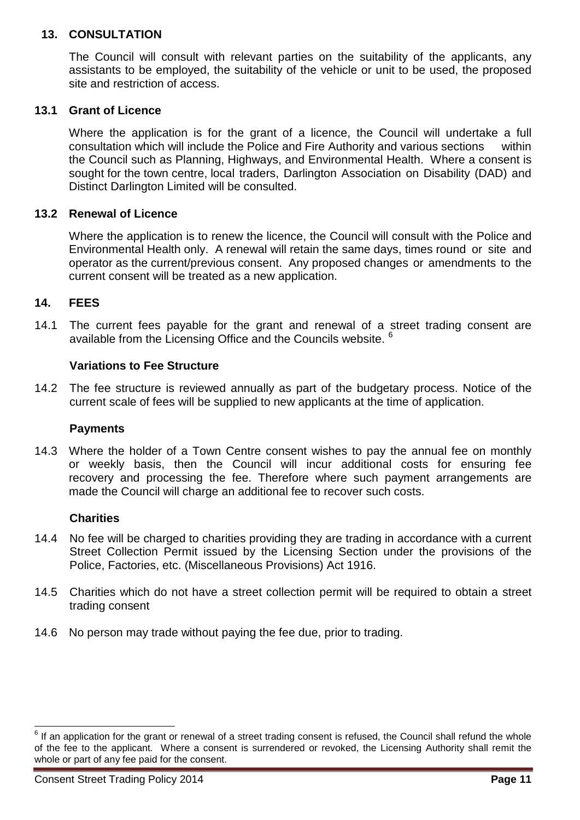#### **13. CONSULTATION**

The Council will consult with relevant parties on the suitability of the applicants, any assistants to be employed, the suitability of the vehicle or unit to be used, the proposed site and restriction of access.

#### **13.1 Grant of Licence**

Where the application is for the grant of a licence, the Council will undertake a full consultation which will include the Police and Fire Authority and various sections within the Council such as Planning, Highways, and Environmental Health. Where a consent is sought for the town centre, local traders, Darlington Association on Disability (DAD) and Distinct Darlington Limited will be consulted.

#### **13.2 Renewal of Licence**

 Environmental Health only. A renewal will retain the same days, times round or site and Where the application is to renew the licence, the Council will consult with the Police and operator as the current/previous consent. Any proposed changes or amendments to the current consent will be treated as a new application.

#### **14. FEES**

available from the Licensing Office and the Councils website.  $6$ 14.1 The current fees payable for the grant and renewal of a street trading consent are

#### **Variations to Fee Structure**

 14.2 The fee structure is reviewed annually as part of the budgetary process. Notice of the current scale of fees will be supplied to new applicants at the time of application.

#### **Payments**

14.3 Where the holder of a Town Centre consent wishes to pay the annual fee on monthly or weekly basis, then the Council will incur additional costs for ensuring fee recovery and processing the fee. Therefore where such payment arrangements are made the Council will charge an additional fee to recover such costs.

#### **Charities**

- 14.4 No fee will be charged to charities providing they are trading in accordance with a current Street Collection Permit issued by the Licensing Section under the provisions of the Police, Factories, etc. (Miscellaneous Provisions) Act 1916.
- 14.5 Charities which do not have a street collection permit will be required to obtain a street trading consent
- 14.6 No person may trade without paying the fee due, prior to trading.

 $\overline{a}$ 

<span id="page-13-0"></span> of the fee to the applicant. Where a consent is surrendered or revoked, the Licensing Authority shall remit the  $6$  If an application for the grant or renewal of a street trading consent is refused, the Council shall refund the whole whole or part of any fee paid for the consent.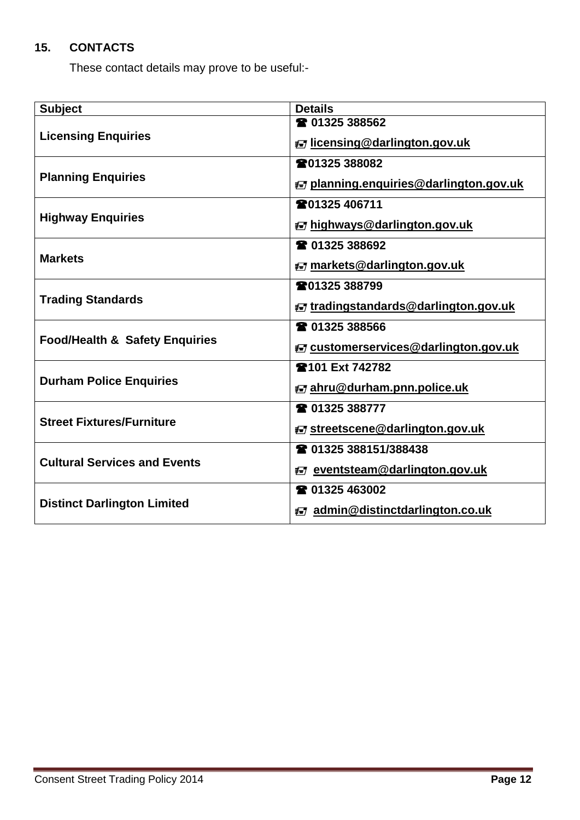# **15. CONTACTS**

These contact details may prove to be useful:-

| <b>Subject</b>                            | <b>Details</b>                         |  |
|-------------------------------------------|----------------------------------------|--|
|                                           | <b>雷 01325 388562</b>                  |  |
| <b>Licensing Enquiries</b>                | ₹ licensing@darlington.gov.uk          |  |
|                                           | ☎01325 388082                          |  |
| <b>Planning Enquiries</b>                 | ₹ planning.enquiries@darlington.gov.uk |  |
|                                           | <b>雷01325 406711</b>                   |  |
| <b>Highway Enquiries</b>                  | ₹ highways@darlington.gov.uk           |  |
|                                           | <b>雷 01325 388692</b>                  |  |
| <b>Markets</b>                            | ₹ markets@darlington.gov.uk            |  |
|                                           | ☎01325 388799                          |  |
| <b>Trading Standards</b>                  | ₹ tradingstandards@darlington.gov.uk   |  |
|                                           | <b>■ 01325 388566</b>                  |  |
| <b>Food/Health &amp; Safety Enquiries</b> | E customerservices@darlington.gov.uk   |  |
|                                           | <b>雪101 Ext 742782</b>                 |  |
| <b>Durham Police Enquiries</b>            | ₹ ahru@durham.pnn.police.uk            |  |
|                                           | ☎ 01325 388777                         |  |
| <b>Street Fixtures/Furniture</b>          | ₹ streetscene@darlington.gov.uk        |  |
|                                           | 28 01325 388151/388438                 |  |
| <b>Cultural Services and Events</b>       | ₹ eventsteam@darlington.gov.uk         |  |
|                                           | ☎ 01325 463002                         |  |
| <b>Distinct Darlington Limited</b>        | ₹ admin@distinctdarlington.co.uk       |  |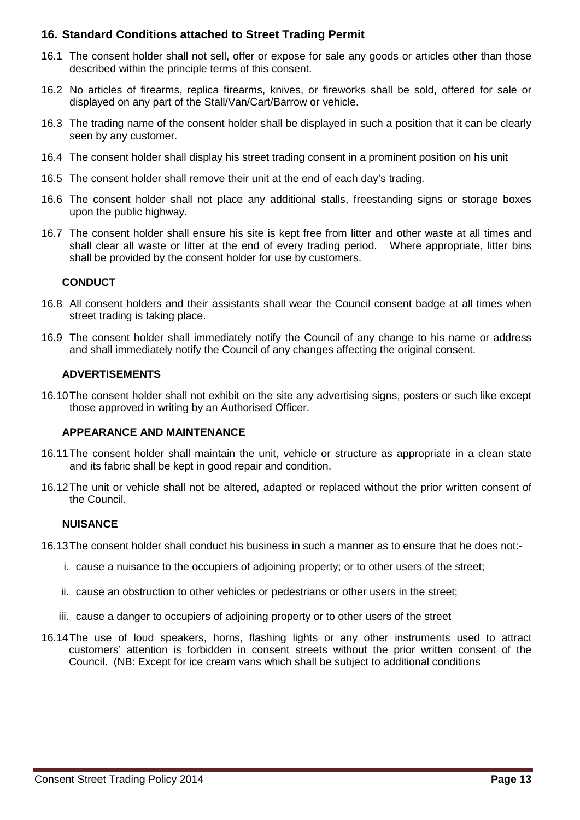### **16. Standard Conditions attached to Street Trading Permit**

- 16.1 The consent holder shall not sell, offer or expose for sale any goods or articles other than those described within the principle terms of this consent.
- 16.2 No articles of firearms, replica firearms, knives, or fireworks shall be sold, offered for sale or displayed on any part of the Stall/Van/Cart/Barrow or vehicle.
- 16.3 The trading name of the consent holder shall be displayed in such a position that it can be clearly seen by any customer.
- 16.4 The consent holder shall display his street trading consent in a prominent position on his unit
- 16.5 The consent holder shall remove their unit at the end of each day's trading.
- 16.6 The consent holder shall not place any additional stalls, freestanding signs or storage boxes upon the public highway.
- 16.7 The consent holder shall ensure his site is kept free from litter and other waste at all times and shall clear all waste or litter at the end of every trading period. Where appropriate, litter bins shall be provided by the consent holder for use by customers.

#### **CONDUCT**

- 16.8 All consent holders and their assistants shall wear the Council consent badge at all times when street trading is taking place.
- 16.9 The consent holder shall immediately notify the Council of any change to his name or address and shall immediately notify the Council of any changes affecting the original consent.

#### **ADVERTISEMENTS**

 16.10The consent holder shall not exhibit on the site any advertising signs, posters or such like except those approved in writing by an Authorised Officer.

#### **APPEARANCE AND MAINTENANCE**

- 16.11The consent holder shall maintain the unit, vehicle or structure as appropriate in a clean state and its fabric shall be kept in good repair and condition.
- 16.12The unit or vehicle shall not be altered, adapted or replaced without the prior written consent of the Council.

#### **NUISANCE**

- 16.13The consent holder shall conduct his business in such a manner as to ensure that he does not:-
	- i. cause a nuisance to the occupiers of adjoining property; or to other users of the street;
	- ii. cause an obstruction to other vehicles or pedestrians or other users in the street;
	- iii. cause a danger to occupiers of adjoining property or to other users of the street
- 16.14The use of loud speakers, horns, flashing lights or any other instruments used to attract customers' attention is forbidden in consent streets without the prior written consent of the Council. (NB: Except for ice cream vans which shall be subject to additional conditions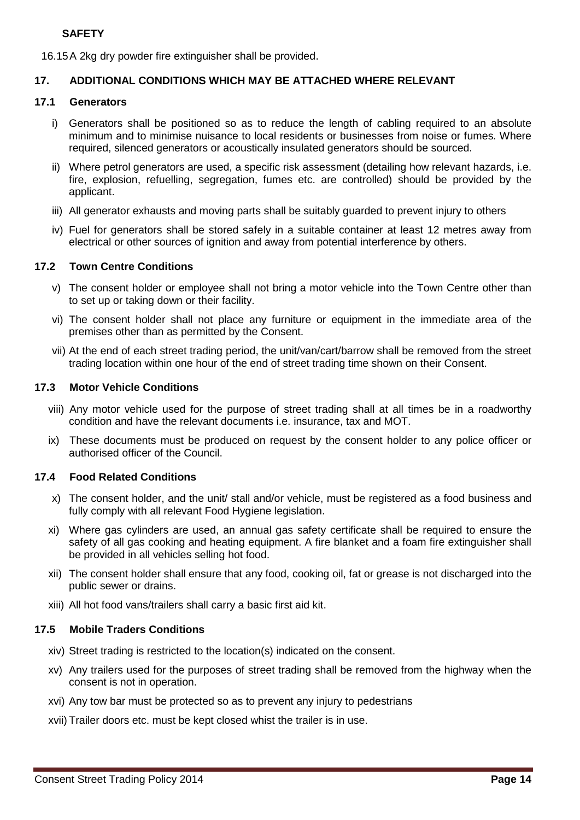#### **SAFETY**

16.15A 2kg dry powder fire extinguisher shall be provided.

#### **17. ADDITIONAL CONDITIONS WHICH MAY BE ATTACHED WHERE RELEVANT**

#### **17.1 Generators**

- i) Generators shall be positioned so as to reduce the length of cabling required to an absolute minimum and to minimise nuisance to local residents or businesses from noise or fumes. Where required, silenced generators or acoustically insulated generators should be sourced.
- ii) Where petrol generators are used, a specific risk assessment (detailing how relevant hazards, i.e. fire, explosion, refuelling, segregation, fumes etc. are controlled) should be provided by the applicant.
- iii) All generator exhausts and moving parts shall be suitably guarded to prevent injury to others
- iv) Fuel for generators shall be stored safely in a suitable container at least 12 metres away from electrical or other sources of ignition and away from potential interference by others.

#### **17.2 Town Centre Conditions**

- to set up or taking down or their facility. v) The consent holder or employee shall not bring a motor vehicle into the Town Centre other than
- vi) The consent holder shall not place any furniture or equipment in the immediate area of the premises other than as permitted by the Consent.
- vii) At the end of each street trading period, the unit/van/cart/barrow shall be removed from the street trading location within one hour of the end of street trading time shown on their Consent.

#### **17.3 Motor Vehicle Conditions**

- viii) Any motor vehicle used for the purpose of street trading shall at all times be in a roadworthy condition and have the relevant documents i.e. insurance, tax and MOT.
- ix) These documents must be produced on request by the consent holder to any police officer or authorised officer of the Council.

#### **17.4 Food Related Conditions**

- x) The consent holder, and the unit/ stall and/or vehicle, must be registered as a food business and fully comply with all relevant Food Hygiene legislation.
- xi) Where gas cylinders are used, an annual gas safety certificate shall be required to ensure the safety of all gas cooking and heating equipment. A fire blanket and a foam fire extinguisher shall be provided in all vehicles selling hot food.
- xii) The consent holder shall ensure that any food, cooking oil, fat or grease is not discharged into the public sewer or drains.
- xiii) All hot food vans/trailers shall carry a basic first aid kit.

#### **17.5 Mobile Traders Conditions**

- xiv) Street trading is restricted to the location(s) indicated on the consent.
- xv) Any trailers used for the purposes of street trading shall be removed from the highway when the consent is not in operation.
- xvi) Any tow bar must be protected so as to prevent any injury to pedestrians
- xvii) Trailer doors etc. must be kept closed whist the trailer is in use.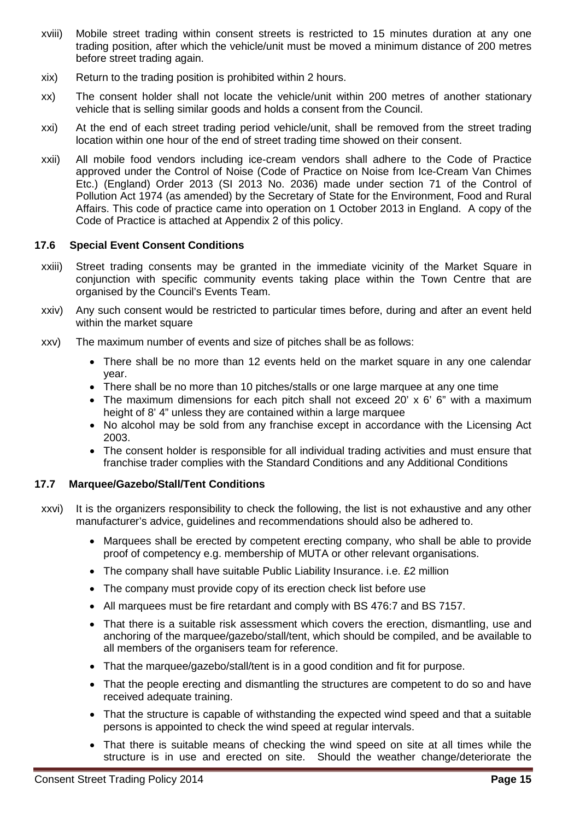- xviii) Mobile street trading within consent streets is restricted to 15 minutes duration at any one trading position, after which the vehicle/unit must be moved a minimum distance of 200 metres before street trading again.
- xix) Return to the trading position is prohibited within 2 hours.
- xx) The consent holder shall not locate the vehicle/unit within 200 metres of another stationary vehicle that is selling similar goods and holds a consent from the Council.
- xxi) At the end of each street trading period vehicle/unit, shall be removed from the street trading location within one hour of the end of street trading time showed on their consent.
- Etc.) (England) Order 2013 (SI 2013 No. 2036) made under section 71 of the Control of Pollution Act 1974 (as amended) by the Secretary of State for the Environment, Food and Rural Affairs. This code of practice came into operation on 1 October 2013 in England. A copy of the xxii) All mobile food vendors including ice-cream vendors shall adhere to the Code of Practice approved under the Control of Noise (Code of Practice on Noise from Ice-Cream Van Chimes Code of Practice is attached at Appendix 2 of this policy.

#### **17.6 Special Event Consent Conditions**

- xxiii) Street trading consents may be granted in the immediate vicinity of the Market Square in conjunction with specific community events taking place within the Town Centre that are organised by the Council's Events Team.
- xxiv) Any such consent would be restricted to particular times before, during and after an event held within the market square
- xxv) The maximum number of events and size of pitches shall be as follows:
	- • There shall be no more than 12 events held on the market square in any one calendar year.
	- There shall be no more than 10 pitches/stalls or one large marquee at any one time
	- The maximum dimensions for each pitch shall not exceed 20' x 6' 6" with a maximum height of 8' 4" unless they are contained within a large marquee
	- • No alcohol may be sold from any franchise except in accordance with the Licensing Act 2003.
	- The consent holder is responsible for all individual trading activities and must ensure that franchise trader complies with the Standard Conditions and any Additional Conditions

#### **17.7 Marquee/Gazebo/Stall/Tent Conditions**

- xxvi) It is the organizers responsibility to check the following, the list is not exhaustive and any other manufacturer's advice, guidelines and recommendations should also be adhered to.
	- • Marquees shall be erected by competent erecting company, who shall be able to provide proof of competency e.g. membership of MUTA or other relevant organisations.
	- The company shall have suitable Public Liability Insurance. i.e. £2 million
	- The company must provide copy of its erection check list before use
	- All marquees must be fire retardant and comply with BS 476:7 and BS 7157.
	- all members of the organisers team for reference. • That there is a suitable risk assessment which covers the erection, dismantling, use and anchoring of the marquee/gazebo/stall/tent, which should be compiled, and be available to
	- That the marquee/gazebo/stall/tent is in a good condition and fit for purpose.
	- • That the people erecting and dismantling the structures are competent to do so and have received adequate training.
	- That the structure is capable of withstanding the expected wind speed and that a suitable persons is appointed to check the wind speed at regular intervals.
	- structure is in use and erected on site. Should the weather change/deteriorate the That there is suitable means of checking the wind speed on site at all times while the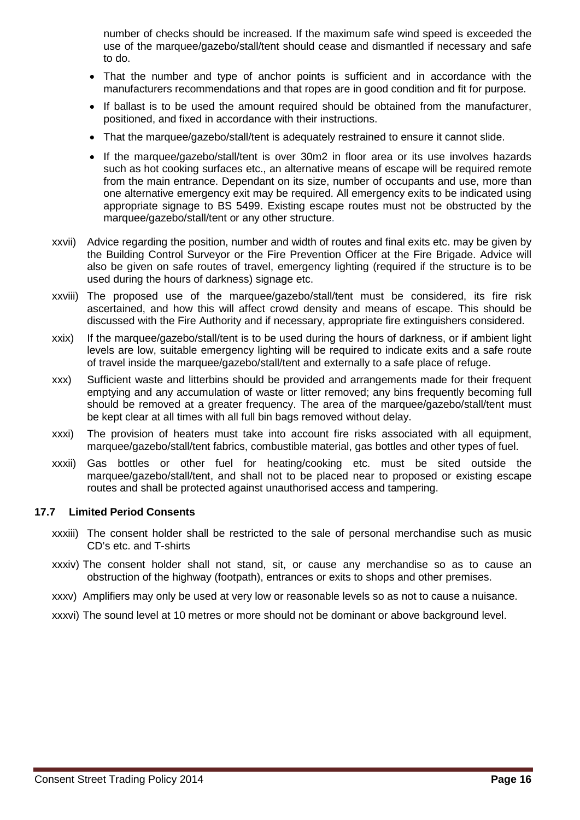number of checks should be increased. If the maximum safe wind speed is exceeded the use of the marquee/gazebo/stall/tent should cease and dismantled if necessary and safe to do.

- • That the number and type of anchor points is sufficient and in accordance with the manufacturers recommendations and that ropes are in good condition and fit for purpose.
- If ballast is to be used the amount required should be obtained from the manufacturer, positioned, and fixed in accordance with their instructions.
- That the marquee/gazebo/stall/tent is adequately restrained to ensure it cannot slide.
- • If the marquee/gazebo/stall/tent is over 30m2 in floor area or its use involves hazards such as hot cooking surfaces etc., an alternative means of escape will be required remote one alternative emergency exit may be required. All emergency exits to be indicated using from the main entrance. Dependant on its size, number of occupants and use, more than appropriate signage to BS 5499. Existing escape routes must not be obstructed by the marquee/gazebo/stall/tent or any other structure.
- the Building Control Surveyor or the Fire Prevention Officer at the Fire Brigade. Advice will also be given on safe routes of travel, emergency lighting (required if the structure is to be used during the hours of darkness) signage etc. xxvii) Advice regarding the position, number and width of routes and final exits etc. may be given by
- xxviii) The proposed use of the marquee/gazebo/stall/tent must be considered, its fire risk ascertained, and how this will affect crowd density and means of escape. This should be discussed with the Fire Authority and if necessary, appropriate fire extinguishers considered.
- xxix) If the marquee/gazebo/stall/tent is to be used during the hours of darkness, or if ambient light levels are low, suitable emergency lighting will be required to indicate exits and a safe route of travel inside the marquee/gazebo/stall/tent and externally to a safe place of refuge.
- xxx) Sufficient waste and litterbins should be provided and arrangements made for their frequent should be removed at a greater frequency. The area of the marquee/gazebo/stall/tent must be kept clear at all times with all full bin bags removed without delay. emptying and any accumulation of waste or litter removed; any bins frequently becoming full
- xxxi) The provision of heaters must take into account fire risks associated with all equipment, marquee/gazebo/stall/tent fabrics, combustible material, gas bottles and other types of fuel.
- xxxii) Gas bottles or other fuel for heating/cooking etc. must be sited outside the marquee/gazebo/stall/tent, and shall not to be placed near to proposed or existing escape routes and shall be protected against unauthorised access and tampering.

#### **17.7 Limited Period Consents**

- xxxiii) The consent holder shall be restricted to the sale of personal merchandise such as music CD's etc. and T-shirts
- xxxiv) The consent holder shall not stand, sit, or cause any merchandise so as to cause an obstruction of the highway (footpath), entrances or exits to shops and other premises.
- xxxv) Amplifiers may only be used at very low or reasonable levels so as not to cause a nuisance.
- xxxvi) The sound level at 10 metres or more should not be dominant or above background level.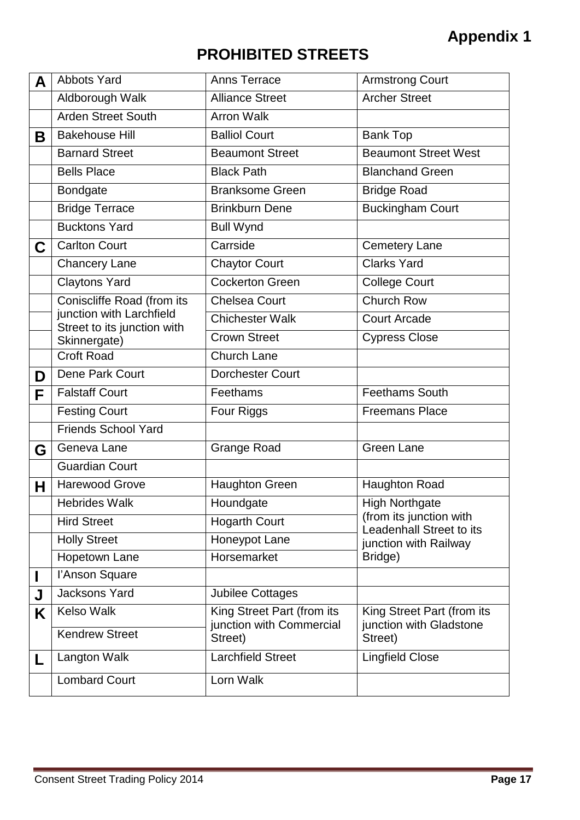# **PROHIBITED STREETS**

| A | <b>Abbots Yard</b>                                      | <b>Anns Terrace</b>                 | <b>Armstrong Court</b>                              |  |
|---|---------------------------------------------------------|-------------------------------------|-----------------------------------------------------|--|
|   | Aldborough Walk                                         | <b>Alliance Street</b>              | <b>Archer Street</b>                                |  |
|   | <b>Arden Street South</b>                               | <b>Arron Walk</b>                   |                                                     |  |
| Β | <b>Bakehouse Hill</b>                                   | <b>Balliol Court</b>                | <b>Bank Top</b>                                     |  |
|   | <b>Barnard Street</b>                                   | <b>Beaumont Street</b>              | <b>Beaumont Street West</b>                         |  |
|   | <b>Bells Place</b>                                      | <b>Black Path</b>                   | <b>Blanchand Green</b>                              |  |
|   | Bondgate                                                | <b>Branksome Green</b>              | <b>Bridge Road</b>                                  |  |
|   | <b>Bridge Terrace</b>                                   | <b>Brinkburn Dene</b>               | <b>Buckingham Court</b>                             |  |
|   | <b>Bucktons Yard</b>                                    | <b>Bull Wynd</b>                    |                                                     |  |
| C | <b>Carlton Court</b>                                    | Carrside                            | <b>Cemetery Lane</b>                                |  |
|   | <b>Chancery Lane</b>                                    | <b>Chaytor Court</b>                | <b>Clarks Yard</b>                                  |  |
|   | <b>Claytons Yard</b>                                    | <b>Cockerton Green</b>              | <b>College Court</b>                                |  |
|   | Coniscliffe Road (from its                              | <b>Chelsea Court</b>                | Church Row                                          |  |
|   | junction with Larchfield<br>Street to its junction with | <b>Chichester Walk</b>              | <b>Court Arcade</b>                                 |  |
|   | Skinnergate)                                            | <b>Crown Street</b>                 | <b>Cypress Close</b>                                |  |
|   | <b>Croft Road</b>                                       | Church Lane                         |                                                     |  |
| D | Dene Park Court                                         | <b>Dorchester Court</b>             |                                                     |  |
| F | <b>Falstaff Court</b>                                   | Feethams                            | <b>Feethams South</b>                               |  |
|   | <b>Festing Court</b>                                    | Four Riggs                          | <b>Freemans Place</b>                               |  |
|   | <b>Friends School Yard</b>                              |                                     |                                                     |  |
| G | Geneva Lane                                             | <b>Grange Road</b>                  | <b>Green Lane</b>                                   |  |
|   | <b>Guardian Court</b>                                   |                                     |                                                     |  |
| Н | Harewood Grove                                          | <b>Haughton Green</b>               | <b>Haughton Road</b>                                |  |
|   | <b>Hebrides Walk</b>                                    | Houndgate                           | <b>High Northgate</b>                               |  |
|   | <b>Hird Street</b>                                      | <b>Hogarth Court</b>                | (from its junction with<br>Leadenhall Street to its |  |
|   | <b>Holly Street</b>                                     | Honeypot Lane                       | junction with Railway                               |  |
|   | Hopetown Lane                                           | Horsemarket                         | Bridge)                                             |  |
|   | l'Anson Square                                          |                                     |                                                     |  |
| J | Jacksons Yard                                           | <b>Jubilee Cottages</b>             |                                                     |  |
| K | <b>Kelso Walk</b>                                       | King Street Part (from its          | King Street Part (from its                          |  |
|   | <b>Kendrew Street</b>                                   | junction with Commercial<br>Street) | junction with Gladstone<br>Street)                  |  |
| L | Langton Walk                                            | <b>Larchfield Street</b>            | <b>Lingfield Close</b>                              |  |
|   | <b>Lombard Court</b>                                    | Lorn Walk                           |                                                     |  |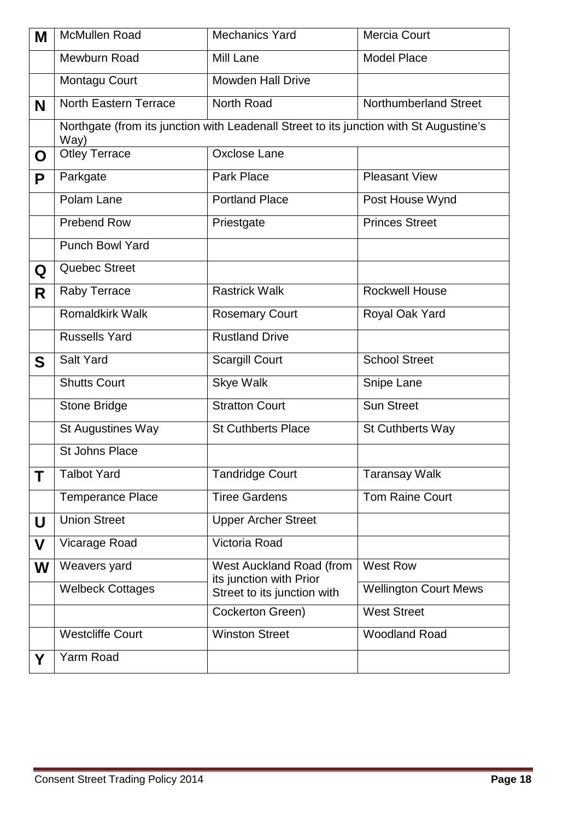| Μ | <b>McMullen Road</b>         | <b>Mechanics Yard</b>                                                                  | Mercia Court                 |
|---|------------------------------|----------------------------------------------------------------------------------------|------------------------------|
|   | Mewburn Road                 | <b>Mill Lane</b>                                                                       | <b>Model Place</b>           |
|   | Montagu Court                | <b>Mowden Hall Drive</b>                                                               |                              |
| N | <b>North Eastern Terrace</b> | North Road                                                                             | <b>Northumberland Street</b> |
|   | Way)                         | Northgate (from its junction with Leadenall Street to its junction with St Augustine's |                              |
| O | <b>Otley Terrace</b>         | Oxclose Lane                                                                           |                              |
| P | Parkgate                     | <b>Park Place</b>                                                                      | <b>Pleasant View</b>         |
|   | Polam Lane                   | <b>Portland Place</b>                                                                  | Post House Wynd              |
|   | <b>Prebend Row</b>           | Priestgate                                                                             | <b>Princes Street</b>        |
|   | <b>Punch Bowl Yard</b>       |                                                                                        |                              |
| Q | Quebec Street                |                                                                                        |                              |
| R | Raby Terrace                 | <b>Rastrick Walk</b>                                                                   | <b>Rockwell House</b>        |
|   | <b>Romaldkirk Walk</b>       | <b>Rosemary Court</b>                                                                  | Royal Oak Yard               |
|   | <b>Russells Yard</b>         | <b>Rustland Drive</b>                                                                  |                              |
| S | <b>Salt Yard</b>             | <b>Scargill Court</b>                                                                  | <b>School Street</b>         |
|   | <b>Shutts Court</b>          | <b>Skye Walk</b>                                                                       | Snipe Lane                   |
|   | Stone Bridge                 | <b>Stratton Court</b>                                                                  | <b>Sun Street</b>            |
|   | St Augustines Way            | <b>St Cuthberts Place</b>                                                              | <b>St Cuthberts Way</b>      |
|   | <b>St Johns Place</b>        |                                                                                        |                              |
| Τ | <b>Talbot Yard</b>           | <b>Tandridge Court</b>                                                                 | <b>Taransay Walk</b>         |
|   | <b>Temperance Place</b>      | <b>Tiree Gardens</b>                                                                   | <b>Tom Raine Court</b>       |
| U | <b>Union Street</b>          | <b>Upper Archer Street</b>                                                             |                              |
| V | Vicarage Road                | Victoria Road                                                                          |                              |
| W | Weavers yard                 | West Auckland Road (from<br>its junction with Prior                                    | <b>West Row</b>              |
|   | <b>Welbeck Cottages</b>      | Street to its junction with                                                            | <b>Wellington Court Mews</b> |
|   |                              | Cockerton Green)                                                                       | <b>West Street</b>           |
|   | <b>Westcliffe Court</b>      | <b>Winston Street</b>                                                                  | <b>Woodland Road</b>         |
| Y | Yarm Road                    |                                                                                        |                              |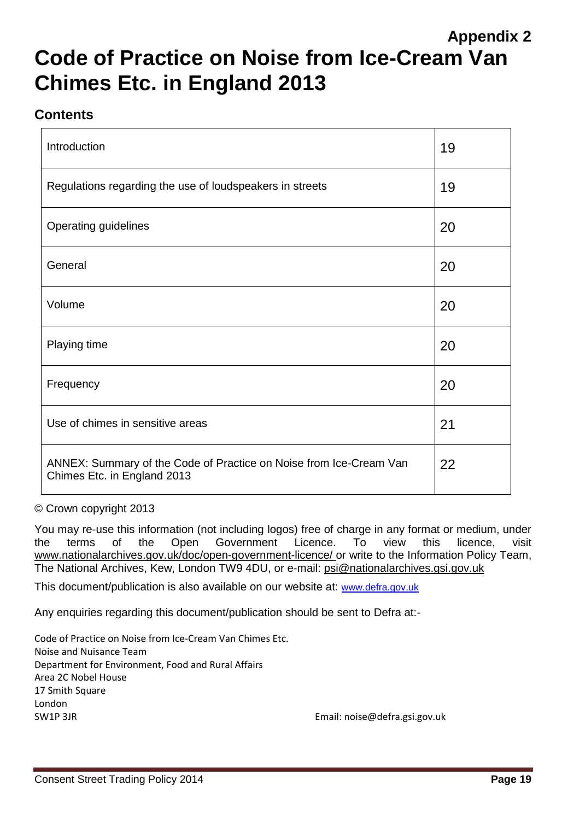# **Appendix 2 Code of Practice on Noise from Ice-Cream Van Chimes Etc. in England 2013**

# **Contents**

| Introduction                                                                                      | 19 |
|---------------------------------------------------------------------------------------------------|----|
| Regulations regarding the use of loudspeakers in streets                                          | 19 |
| <b>Operating guidelines</b>                                                                       | 20 |
| General                                                                                           | 20 |
| Volume                                                                                            | 20 |
| Playing time                                                                                      | 20 |
| Frequency                                                                                         | 20 |
| Use of chimes in sensitive areas                                                                  | 21 |
| ANNEX: Summary of the Code of Practice on Noise from Ice-Cream Van<br>Chimes Etc. in England 2013 | 22 |

© Crown copyright 2013

 You may re-use this information (not including logos) free of charge in any format or medium, under the terms of the Open Government Licence. To view this licence, visit <www.nationalarchives.gov.uk/doc/open-government-licence>/ or write to the Information Policy Team, The National Archives, Kew, London TW9 4DU, or e-mail: psi@nationalarchives.gsi.gov.uk

This document/publication is also available on our website at: www.defra.gov.uk

Any enquiries regarding this document/publication should be sent to Defra at:-

 Code of Practice on Noise from Ice-Cream Van Chimes Etc. Noise and Nuisance Team Department for Environment, Food and Rural Affairs Area 2C Nobel House 17 Smith Square London SW1P 3JR Email: noise@defra.gsi.gov.uk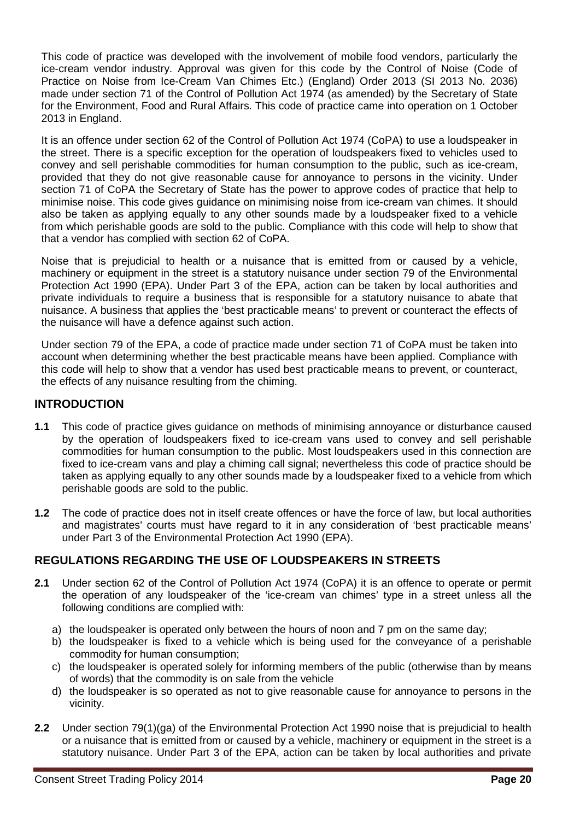This code of practice was developed with the involvement of mobile food vendors, particularly the Practice on Noise from Ice-Cream Van Chimes Etc.) (England) Order 2013 (SI 2013 No. 2036) for the Environment, Food and Rural Affairs. This code of practice came into operation on 1 October ice-cream vendor industry. Approval was given for this code by the Control of Noise (Code of made under section 71 of the Control of Pollution Act 1974 (as amended) by the Secretary of State 2013 in England.

 It is an offence under section 62 of the Control of Pollution Act 1974 (CoPA) to use a loudspeaker in convey and sell perishable commodities for human consumption to the public, such as ice-cream, minimise noise. This code gives guidance on minimising noise from ice-cream van chimes. It should from which perishable goods are sold to the public. Compliance with this code will help to show that the street. There is a specific exception for the operation of loudspeakers fixed to vehicles used to provided that they do not give reasonable cause for annoyance to persons in the vicinity. Under section 71 of CoPA the Secretary of State has the power to approve codes of practice that help to also be taken as applying equally to any other sounds made by a loudspeaker fixed to a vehicle that a vendor has complied with section 62 of CoPA.

 Noise that is prejudicial to health or a nuisance that is emitted from or caused by a vehicle, Protection Act 1990 (EPA). Under Part 3 of the EPA, action can be taken by local authorities and machinery or equipment in the street is a statutory nuisance under section 79 of the Environmental private individuals to require a business that is responsible for a statutory nuisance to abate that nuisance. A business that applies the 'best practicable means' to prevent or counteract the effects of the nuisance will have a defence against such action.

 Under section 79 of the EPA, a code of practice made under section 71 of CoPA must be taken into account when determining whether the best practicable means have been applied. Compliance with this code will help to show that a vendor has used best practicable means to prevent, or counteract, the effects of any nuisance resulting from the chiming.

### **INTRODUCTION**

- fixed to ice-cream vans and play a chiming call signal; nevertheless this code of practice should be **1.1** This code of practice gives guidance on methods of minimising annoyance or disturbance caused by the operation of loudspeakers fixed to ice-cream vans used to convey and sell perishable commodities for human consumption to the public. Most loudspeakers used in this connection are taken as applying equally to any other sounds made by a loudspeaker fixed to a vehicle from which perishable goods are sold to the public.
- **1.2** The code of practice does not in itself create offences or have the force of law, but local authorities and magistrates' courts must have regard to it in any consideration of 'best practicable means' under Part 3 of the Environmental Protection Act 1990 (EPA).

# **REGULATIONS REGARDING THE USE OF LOUDSPEAKERS IN STREETS**

- the operation of any loudspeaker of the 'ice-cream van chimes' type in a street unless all the **2.1** Under section 62 of the Control of Pollution Act 1974 (CoPA) it is an offence to operate or permit following conditions are complied with:
	- a) the loudspeaker is operated only between the hours of noon and 7 pm on the same day;
	- b) the loudspeaker is fixed to a vehicle which is being used for the conveyance of a perishable commodity for human consumption;
	- c) the loudspeaker is operated solely for informing members of the public (otherwise than by means of words) that the commodity is on sale from the vehicle
	- d) the loudspeaker is so operated as not to give reasonable cause for annoyance to persons in the vicinity.
- **2.2** Under section 79(1)(ga) of the Environmental Protection Act 1990 noise that is prejudicial to health or a nuisance that is emitted from or caused by a vehicle, machinery or equipment in the street is a statutory nuisance. Under Part 3 of the EPA, action can be taken by local authorities and private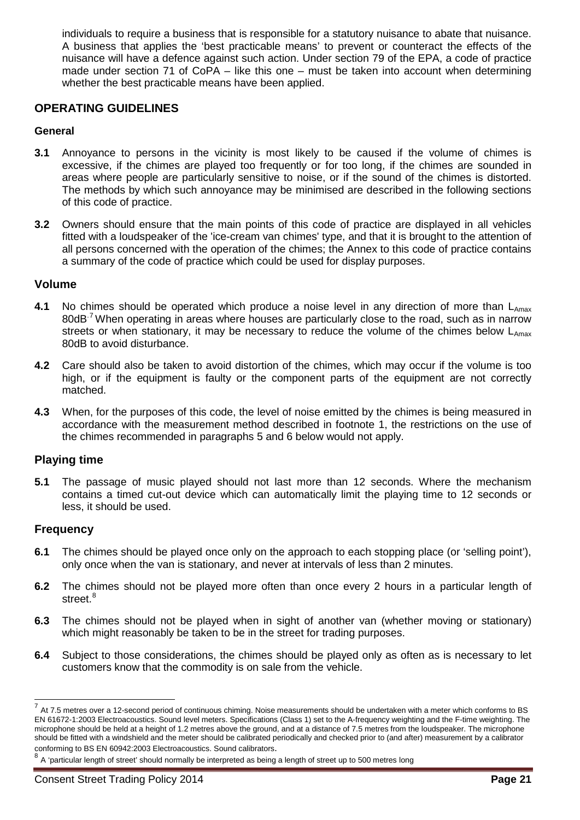individuals to require a business that is responsible for a statutory nuisance to abate that nuisance. made under section 71 of CoPA – like this one – must be taken into account when determining A business that applies the 'best practicable means' to prevent or counteract the effects of the nuisance will have a defence against such action. Under section 79 of the EPA, a code of practice whether the best practicable means have been applied.

#### **OPERATING GUIDELINES**

#### **General**

- areas where people are particularly sensitive to noise, or if the sound of the chimes is distorted. **3.1** Annoyance to persons in the vicinity is most likely to be caused if the volume of chimes is excessive, if the chimes are played too frequently or for too long, if the chimes are sounded in The methods by which such annoyance may be minimised are described in the following sections of this code of practice.
- **3.2** Owners should ensure that the main points of this code of practice are displayed in all vehicles all persons concerned with the operation of the chimes; the Annex to this code of practice contains fitted with a loudspeaker of the 'ice-cream van chimes' type, and that it is brought to the attention of a summary of the code of practice which could be used for display purposes.

#### **Volume**

- 80dB $^7$ When operating in areas where houses are particularly close to the road, such as in narrow streets or when stationary, it may be necessary to reduce the volume of the chimes below  $L_{Amax}$ **4.1** No chimes should be operated which produce a noise level in any direction of more than L<sub>Amax</sub> 80dB to avoid disturbance.
- **4.2** Care should also be taken to avoid distortion of the chimes, which may occur if the volume is too high, or if the equipment is faulty or the component parts of the equipment are not correctly matched.
- **4.3** When, for the purposes of this code, the level of noise emitted by the chimes is being measured in accordance with the measurement method described in footnote 1, the restrictions on the use of the chimes recommended in paragraphs 5 and 6 below would not apply.

#### **Playing time**

**5.1** The passage of music played should not last more than 12 seconds. Where the mechanism contains a timed cut-out device which can automatically limit the playing time to 12 seconds or less, it should be used.

#### **Frequency**

 $\overline{a}$ 

- **6.1** The chimes should be played once only on the approach to each stopping place (or 'selling point'), only once when the van is stationary, and never at intervals of less than 2 minutes.
- **6.2** The chimes should not be played more often than once every 2 hours in a particular length of street.<sup>8</sup>
- **6.3** The chimes should not be played when in sight of another van (whether moving or stationary) which might reasonably be taken to be in the street for trading purposes.
- customers know that the commodity is on sale from the vehicle. **6.4** Subject to those considerations, the chimes should be played only as often as is necessary to let

<span id="page-23-0"></span> microphone should be held at a height of 1.2 metres above the ground, and at a distance of 7.5 metres from the loudspeaker. The microphone conforming to BS EN 60942:2003 Electroacoustics. Sound calibrators. conforming to BS EN 60942:2003 Electroacoustics. Sound calibrators.<br><sup>8</sup> A 'particular length of street' should normally be interpreted as being a length of street up to 500 metres long  $^7$  At 7.5 metres over a 12-second period of continuous chiming. Noise measurements should be undertaken with a meter which conforms to BS EN 61672-1:2003 Electroacoustics. Sound level meters. Specifications (Class 1) set to the A-frequency weighting and the F-time weighting. The should be fitted with a windshield and the meter should be calibrated periodically and checked prior to (and after) measurement by a calibrator

<span id="page-23-1"></span>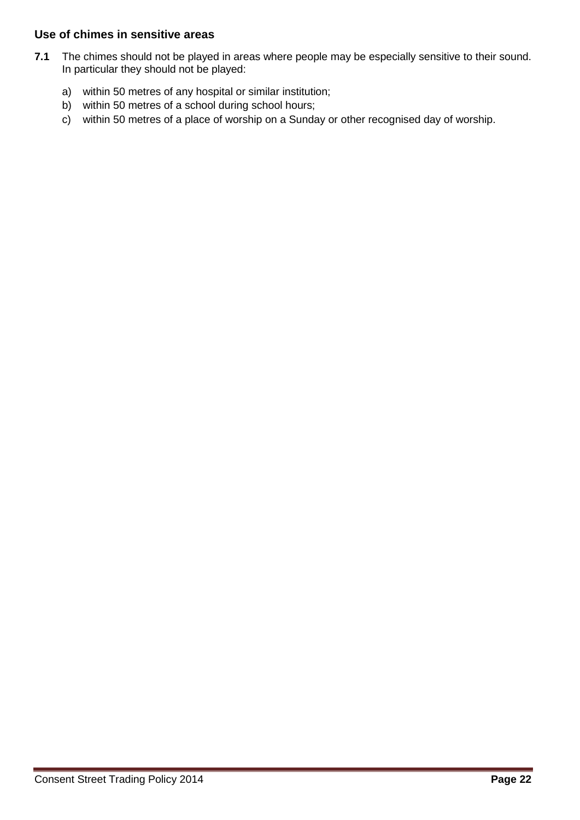#### **Use of chimes in sensitive areas**

- **7.1** The chimes should not be played in areas where people may be especially sensitive to their sound. In particular they should not be played:
	- a) within 50 metres of any hospital or similar institution;
	- b) within 50 metres of a school during school hours;
	- c) within 50 metres of a place of worship on a Sunday or other recognised day of worship.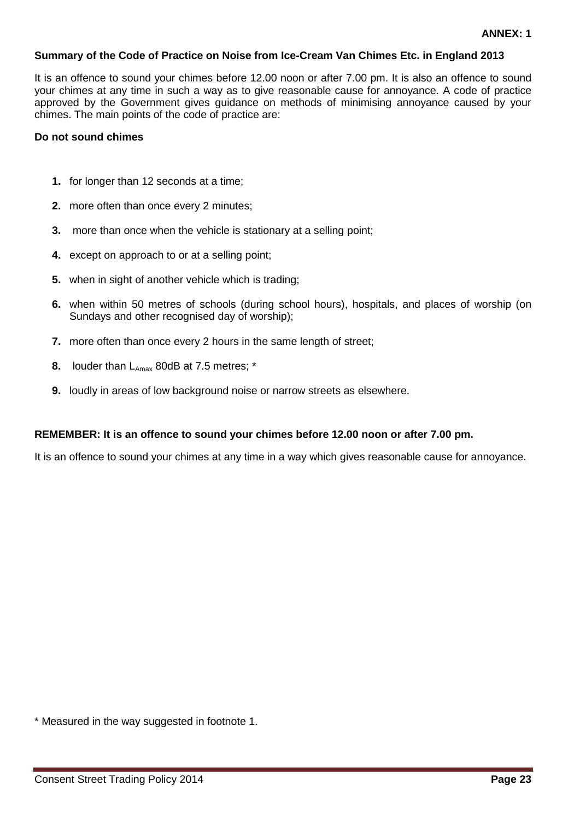#### **Summary of the Code of Practice on Noise from Ice-Cream Van Chimes Etc. in England 2013**

 approved by the Government gives guidance on methods of minimising annoyance caused by your chimes. The main points of the code of practice are: It is an offence to sound your chimes before 12.00 noon or after 7.00 pm. It is also an offence to sound your chimes at any time in such a way as to give reasonable cause for annoyance. A code of practice

#### **Do not sound chimes**

- **1.** for longer than 12 seconds at a time;
- **2.** more often than once every 2 minutes;
- **3.** more than once when the vehicle is stationary at a selling point;
- **4.** except on approach to or at a selling point;
- **5.** when in sight of another vehicle which is trading;
- **6.** when within 50 metres of schools (during school hours), hospitals, and places of worship (on Sundays and other recognised day of worship);
- **7.** more often than once every 2 hours in the same length of street;
- **8.** louder than L<sub>Amax</sub> 80dB at 7.5 metres; \*
- **9.** loudly in areas of low background noise or narrow streets as elsewhere.

#### **REMEMBER: It is an offence to sound your chimes before 12.00 noon or after 7.00 pm.**

It is an offence to sound your chimes at any time in a way which gives reasonable cause for annoyance.

\* Measured in the way suggested in footnote 1.